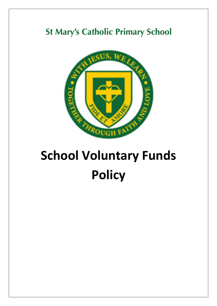## **St Mary's Catholic Primary School**



# **School Voluntary Funds Policy**